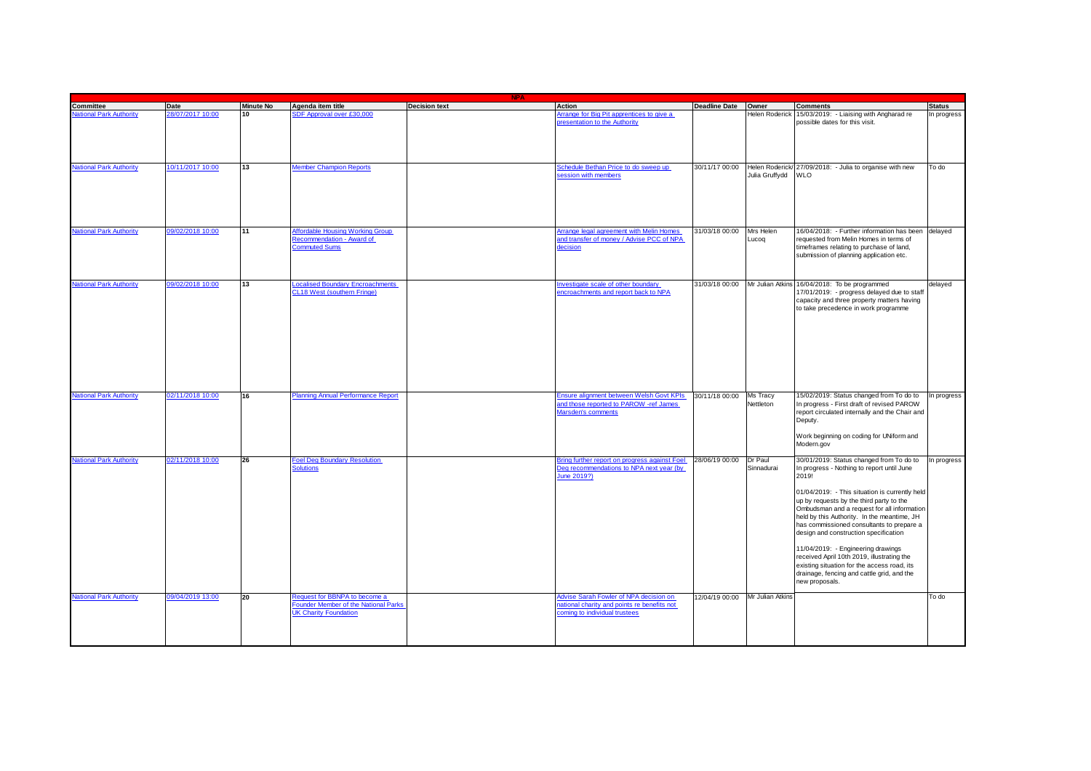| <b>NPA</b>                     |                  |                  |                                                                                                       |                      |                                                                                                                      |                                 |                                   |                                                                                                                                                                                                                                                                                                                                                                                                                                                                                                                                                                                      |               |
|--------------------------------|------------------|------------------|-------------------------------------------------------------------------------------------------------|----------------------|----------------------------------------------------------------------------------------------------------------------|---------------------------------|-----------------------------------|--------------------------------------------------------------------------------------------------------------------------------------------------------------------------------------------------------------------------------------------------------------------------------------------------------------------------------------------------------------------------------------------------------------------------------------------------------------------------------------------------------------------------------------------------------------------------------------|---------------|
| Committee                      | Date             | <b>Minute No</b> | Agenda item title                                                                                     | <b>Decision text</b> | Action                                                                                                               | Deadline Date Owner             |                                   | <b>Comments</b>                                                                                                                                                                                                                                                                                                                                                                                                                                                                                                                                                                      | <b>Status</b> |
| lational Park Authority        | 28/07/2017 10:00 | 10               | SDF Approval over £30,000                                                                             |                      | rrange for Big Pit apprentices to give a<br>resentation to the Authority                                             |                                 | Helen Roderick                    | 15/03/2019: - Liaising with Angharad re<br>possible dates for this visit.                                                                                                                                                                                                                                                                                                                                                                                                                                                                                                            | In progress   |
| <b>National Park Authority</b> | 10/11/2017 10:00 | 13               | <b>Member Champion Reports</b>                                                                        |                      | chedule Bethan Price to do sweep up<br>ession with members                                                           | 30/11/17 00:00                  | Helen Roderick/<br>Julia Gruffydd | 27/09/2018: - Julia to organise with new<br><b>WLO</b>                                                                                                                                                                                                                                                                                                                                                                                                                                                                                                                               | To do         |
| <b>Jational Park Authority</b> | 09/02/2018 10:00 | 11               | <b>Affordable Housing Working Group</b><br>ecommendation - Award of<br>Commuted Sums                  |                      | <b>Trange legal agreement with Melin Homes</b><br>and transfer of money / Advise PCC of NPA<br>lecision              | 31/03/18 00:00                  | Mrs Helen<br>Lucog                | 16/04/2018: - Further information has been<br>requested from Melin Homes in terms of<br>timeframes relating to purchase of land,<br>submission of planning application etc.                                                                                                                                                                                                                                                                                                                                                                                                          | delayed       |
| <b>ational Park Authority</b>  | 09/02/2018 10:00 | 13               | ocalised Boundary Encroachments<br>CL18 West (southern Fringe)                                        |                      | vestigate scale of other boundary<br>incroachments and report back to NPA                                            | 31/03/18 00:00 Mr Julian Atkins |                                   | 16/04/2018: To be programmed<br>17/01/2019: - progress delayed due to staff<br>capacity and three property matters having<br>to take precedence in work programme                                                                                                                                                                                                                                                                                                                                                                                                                    | delayed       |
| <b>Vational Park Authority</b> | 02/11/2018 10:00 | 16               | Planning Annual Performance Report                                                                    |                      | Ensure alignment between Welsh Govt KPIs<br>and those reported to PAROW -ref James<br>Marsden's comments             | 30/11/18 00:00                  | Ms Tracy<br>Nettleton             | 15/02/2019: Status changed from To do to<br>In progress - First draft of revised PAROW<br>report circulated internally and the Chair and<br>Deputy.<br>Work beginning on coding for UNiform and<br>Modern.gov                                                                                                                                                                                                                                                                                                                                                                        | In progress   |
| <b>National Park Authority</b> | 02/11/2018 10:00 | 26               | <b>Foel Deg Boundary Resolution</b><br><b>Solutions</b>                                               |                      | Bring further report on progress against Foel<br>Deg recommendations to NPA next year (by<br>June 2019?)             | 28/06/19 00:00                  | <b>Dr</b> Paul<br>Sinnadurai      | 30/01/2019: Status changed from To do to<br>In progress - Nothing to report until June<br>2019!<br>01/04/2019: - This situation is currently held<br>up by requests by the third party to the<br>Ombudsman and a request for all information<br>held by this Authority. In the meantime, JH<br>has commissioned consultants to prepare a<br>design and construction specification<br>11/04/2019: - Engineering drawings<br>received April 10th 2019, illustrating the<br>existing situation for the access road, its<br>drainage, fencing and cattle grid, and the<br>new proposals. | In progress   |
| <b>National Park Authority</b> | 09/04/2019 13:00 | 20               | Request for BBNPA to become a<br>Founder Member of the National Parks<br><b>UK Charity Foundation</b> |                      | Advise Sarah Fowler of NPA decision on<br>ational charity and points re benefits not<br>oming to individual trustees | 12/04/19 00:00                  | Mr Julian Atkins                  |                                                                                                                                                                                                                                                                                                                                                                                                                                                                                                                                                                                      | To do         |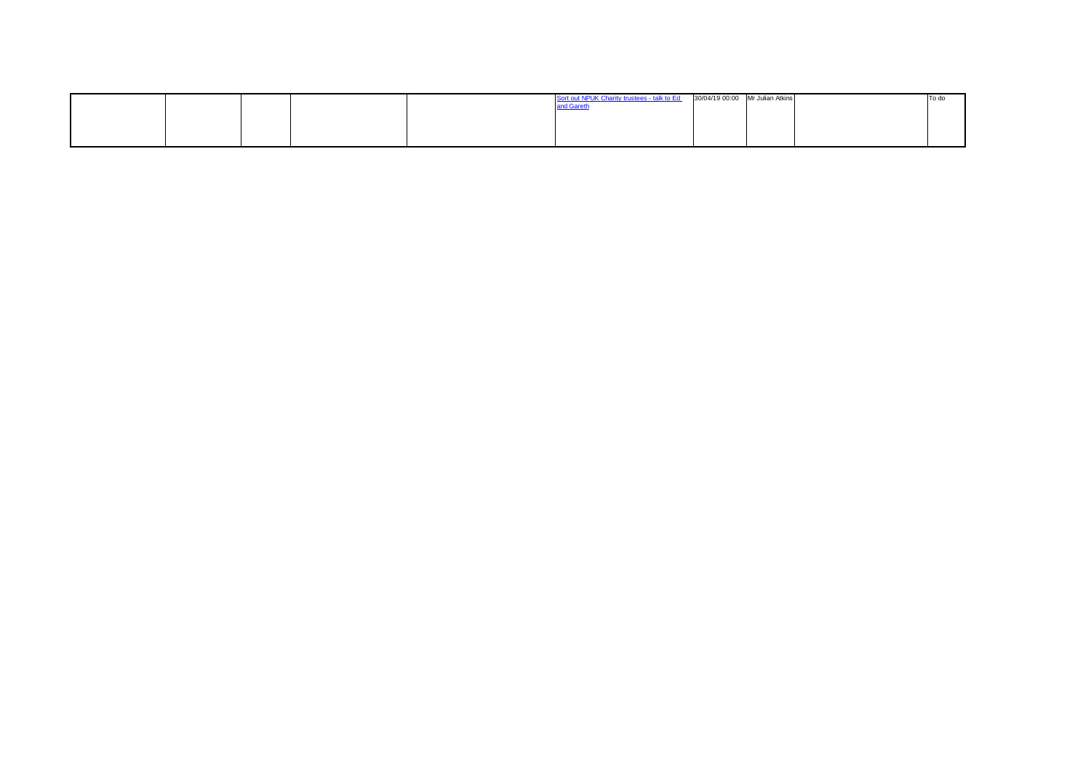|  |  | Sort out NPUK Charity trustees - talk to Ed 30/04/19 00:00 Mr Julian Atkins |  | To do |
|--|--|-----------------------------------------------------------------------------|--|-------|
|  |  |                                                                             |  |       |
|  |  |                                                                             |  |       |